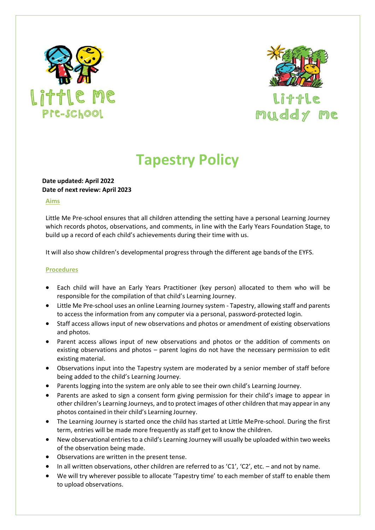



## Little muddy me

# **Tapestry Policy**

## **Date updated: April 2022 Date of next review: April 2023**

#### **Aims**

Little Me Pre-school ensures that all children attending the setting have a personal Learning Journey which records photos, observations, and comments, in line with the Early Years Foundation Stage, to build up a record of each child's achievements during their time with us.

It will also show children's developmental progress through the different age bands of the EYFS.

#### **Procedures**

- Each child will have an Early Years Practitioner (key person) allocated to them who will be responsible for the compilation of that child's Learning Journey.
- Little Me Pre-school uses an online Learning Journey system Tapestry, allowing staff and parents to access the information from any computer via a personal, password-protected login.
- Staff access allows input of new observations and photos or amendment of existing observations and photos.
- Parent access allows input of new observations and photos or the addition of comments on existing observations and photos – parent logins do not have the necessary permission to edit existing material.
- Observations input into the Tapestry system are moderated by a senior member of staff before being added to the child's Learning Journey.
- Parents logging into the system are only able to see their own child's Learning Journey.
- Parents are asked to sign a consent form giving permission for their child's image to appear in other children's Learning Journeys, and to protect images of other children that may appearin any photos contained in their child's Learning Journey.
- The Learning Journey is started once the child has started at Little MePre-school. During the first term, entries will be made more frequently as staff get to know the children.
- New observational entries to a child's Learning Journey will usually be uploaded within two weeks of the observation being made.
- Observations are written in the present tense.
- In all written observations, other children are referred to as 'C1', 'C2', etc. and not by name.
- We will try wherever possible to allocate 'Tapestry time' to each member of staff to enable them to upload observations.